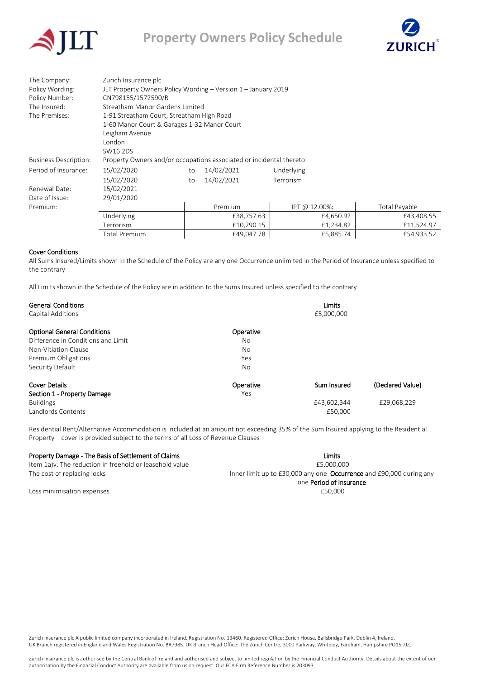



| The Company:                 | Zurich Insurance plc                                                |    |            |               |               |  |  |
|------------------------------|---------------------------------------------------------------------|----|------------|---------------|---------------|--|--|
| Policy Wording:              | JLT Property Owners Policy Wording - Version 1 - January 2019       |    |            |               |               |  |  |
| Policy Number:               | CN798155/1572590/R                                                  |    |            |               |               |  |  |
| The Insured:                 | Streatham Manor Gardens Limited                                     |    |            |               |               |  |  |
| The Premises:                | 1-91 Streatham Court, Streatham High Road                           |    |            |               |               |  |  |
|                              | 1-60 Manor Court & Garages 1-32 Manor Court                         |    |            |               |               |  |  |
|                              | Leigham Avenue<br>London                                            |    |            |               |               |  |  |
|                              |                                                                     |    |            |               |               |  |  |
|                              | SW16 2DS                                                            |    |            |               |               |  |  |
| <b>Business Description:</b> | Property Owners and/or occupations associated or incidental thereto |    |            |               |               |  |  |
| Period of Insurance:         | 15/02/2020                                                          | to | 14/02/2021 | Underlying    |               |  |  |
|                              | 15/02/2020                                                          | to | 14/02/2021 | Terrorism     |               |  |  |
| Renewal Date:                | 15/02/2021                                                          |    |            |               |               |  |  |
| Date of Issue:               | 29/01/2020                                                          |    |            |               |               |  |  |
| Premium:                     |                                                                     |    | Premium    | IPT @ 12.00%: | Total Payable |  |  |
|                              | Underlying                                                          |    | £38,757.63 | £4,650.92     | £43,408.55    |  |  |
|                              | Terrorism                                                           |    | £10,290.15 | £1,234.82     | £11,524.97    |  |  |

#### Cover Conditions

All Sums Insured/Limits shown in the Schedule of the Policy are any one Occurrence unlimited in the Period of Insurance unless specified to the contrary

Total Premium 649,047.78 £5,885.74 £5,885.74 £54,933.52

All Limits shown in the Schedule of the Policy are in addition to the Sums Insured unless specified to the contrary

| <b>General Conditions</b>          |           | Limits      |                  |
|------------------------------------|-----------|-------------|------------------|
| Capital Additions                  |           | £5,000,000  |                  |
| <b>Optional General Conditions</b> | Operative |             |                  |
| Difference in Conditions and Limit | No        |             |                  |
| Non-Vitiation Clause               | <b>No</b> |             |                  |
| Premium Obligations                | Yes       |             |                  |
| Security Default                   | No        |             |                  |
| <b>Cover Details</b>               | Operative | Sum Insured | (Declared Value) |
| Section 1 - Property Damage        | Yes       |             |                  |
| <b>Buildings</b>                   |           | £43,602,344 | £29,068,229      |
| <b>Landlords Contents</b>          |           | £50,000     |                  |

Residential Rent/Alternative Accommodation is included at an amount not exceeding 35% of the Sum Insured applying to the Residential Property – cover is provided subject to the terms of all Loss of Revenue Clauses

## Property Damage - The Basis of Settlement of Claims Limits Limits and Claims Limits Limits Communist Limits Limits

| Limits  |
|---------|
| E NUU U |

Item 1a)v. The reduction in freehold or leasehold value **ES.000.000** estimate the following the following the following the following the following the following the following the following the following the following the

The cost of replacing locks Inner limit up to £30,000 any one **Occurrence** and £90,000 during any one Period of Insurance Loss minimisation expenses **2000** to the control of the control of the control of the control of the control of the control of the control of the control of the control of the control of the control of the control of the c

Zurich Insurance plc A public limited company incorporated in Ireland. Registration No. 13460. Registered Office: Zurich House, Ballsbridge Park, Dublin 4, Ireland. UK Branch registered in England and Wales Registration No. BR7985. UK Branch Head Office: The Zurich Centre, 3000 Parkway, Whiteley, Fareham, Hampshire PO15 7JZ.

Zurich Insurance plc is authorised by the Central Bank of Ireland and authorised and subject to limited regulation by the Financial Conduct Authority. Details about the extent of our authorisation by the Financial Conduct Authority are available from us on request. Our FCA Firm Reference Number is 203093.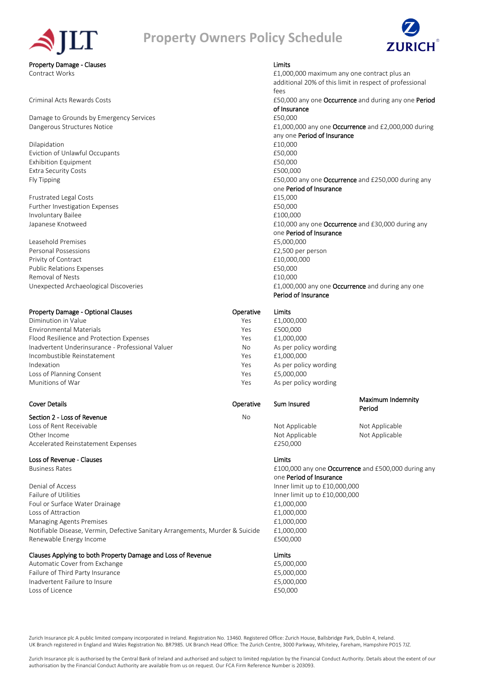# **Property Owners Policy Schedule**



Property Damage - Clauses Limits

Damage to Grounds by Emergency Services **1998** 2000 1250,000

Dilapidation  $£10,000$ Eviction of Unlawful Occupants **EVICE 2008** 2010 12:30 2009 2010 Exhibition Equipment **Exhibition** Equipment Extra Security Costs **2008** 2008 2012 2013 2014 2014 2015 2016 2017 2018 2019 2014 2017 2018 2019 2017 2018 2019 2017 2018 2019 2017 2018 2017 2018 2019 2017 2018 2019 2017 2018 2019 2017 2018 2017 2018 2017 2018 2017 2018

Frustrated Legal Costs **E15,000** Further Investigation Expenses **EXPENSION** 2002 2014 12:30 12:30 2004 Involuntary Bailee **E100,000** 

Leasehold Premises £5,000,000 Personal Possessions **E2,500** per person Privity of Contract **E10,000,000** Public Relations Expenses **EXPENSIONS EXPENSIONS ESO,000** Removal of Nests **E10,000** 

### Property Damage - Optional Clauses **Containers** Operative Limits

Diminution in Value The Trustee of the Ves and the Ves and the E1,000,000 Environmental Materials Yes £500,000 Flood Resilience and Protection Expenses The Contract of the Yes £1,000,000 Inadvertent Underinsurance - Professional Valuer No As per policy wording Incombustible Reinstatement Yes £1,000,000 Indexation **Indexation Indexation Network As per policy wording As per policy wording** Loss of Planning Consent The Consent Conservation of the Vescotial Australian Media Conservation of the Vescotia Munitions of War Yes As per policy wording

### Section 2 - Loss of Revenue No

Loss of Rent Receivable **Not Applicable** Not Applicable Not Applicable Not Applicable Not Applicable Other Income **Not Applicable Not Applicable** Not Applicable Not Applicable Not Applicable Not Applicable Accelerated Reinstatement Expenses **2008** 2014 12:50,000

### Loss of Revenue - Clauses Limits

Denial of Access **Inner limit up to £10,000,000** Failure of Utilities **Inner limit up to £10,000,000** Foul or Surface Water Drainage **E1,000,000** Loss of Attraction £1,000,000 Managing Agents Premises **E1,000,000** and the matrix of the matrix of the matrix of the matrix of the matrix of the matrix of the matrix of the matrix of the matrix of the matrix of the matrix of the matrix of the matrix o Notifiable Disease, Vermin, Defective Sanitary Arrangements, Murder & Suicide £1,000,000 Renewable Energy Income **E500,000** 

### Clauses Applying to both Property Damage and Loss of Revenue Limits

Automatic Cover from Exchange £5,000,000 Failure of Third Party Insurance **E5,000,000** Inadvertent Failure to Insure **E5,000,000** Loss of Licence **250,000** 

Contract Works £1,000,000 maximum any one contract plus an additional 20% of this limit in respect of professional fees Criminal Acts Rewards Costs £50,000 any one Occurrence and during any one Period of Insurance Dangerous Structures Notice **E1,000,000** any one **Occurrence** and £2,000,000 during any one Period of Insurance Fly Tipping **E50,000** any one **Occurrence** and £250,000 during any for the state of the state of the state of the state of the state of the state of the state of the state of the state of the state of the state of the stat one Period of Insurance Japanese Knotweed **E10,000** any one **Occurrence** and £30,000 during any one Period of Insurance Unexpected Archaeological Discoveries **2000 any one Occurrence** and during any one Period of Insurance

### Cover Details Operative Sum Insured

Maximum Indemnity Period

Business Rates **E100,000** any one **Occurrence** and £500,000 during any one **Occurrence** and £500,000 during any one Period of Insurance

Zurich Insurance plc A public limited company incorporated in Ireland. Registration No. 13460. Registered Office: Zurich House, Ballsbridge Park, Dublin 4, Ireland. UK Branch registered in England and Wales Registration No. BR7985. UK Branch Head Office: The Zurich Centre, 3000 Parkway, Whiteley, Fareham, Hampshire PO15 7JZ.

Zurich Insurance plc is authorised by the Central Bank of Ireland and authorised and subject to limited regulation by the Financial Conduct Authority. Details about the extent of our authorisation by the Financial Conduct Authority are available from us on request. Our FCA Firm Reference Number is 203093.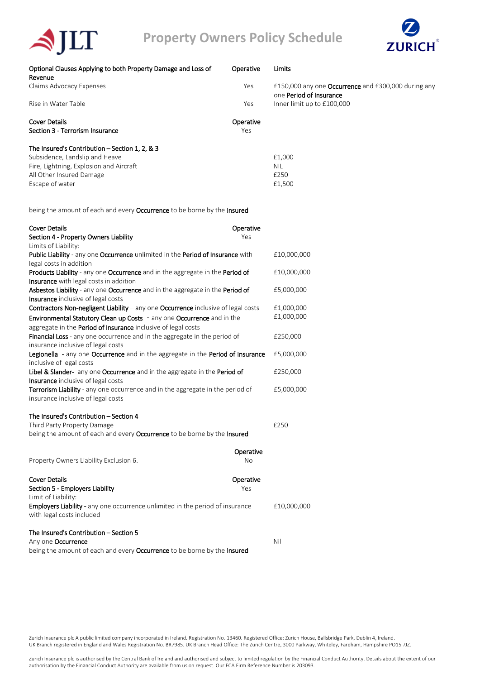

| Optional Clauses Applying to both Property Damage and Loss of<br>Revenue | Operative | Limits                                                                         |
|--------------------------------------------------------------------------|-----------|--------------------------------------------------------------------------------|
| Claims Advocacy Expenses                                                 | Yes       | £150,000 any one Occurrence and £300,000 during any<br>one Period of Insurance |
| Rise in Water Table                                                      | Yes       | Inner limit up to £100,000                                                     |
| Cover Details                                                            | Operative |                                                                                |
| Section 3 - Terrorism Insurance                                          | Yes       |                                                                                |
| The Insured's Contribution $-$ Section 1, 2, & 3                         |           |                                                                                |
| Subsidence, Landslip and Heave                                           |           | £1,000                                                                         |
| Fire, Lightning, Explosion and Aircraft                                  |           | <b>NIL</b>                                                                     |
| All Other Insured Damage                                                 |           | £250                                                                           |
| Escape of water                                                          |           | £1,500                                                                         |

being the amount of each and every Occurrence to be borne by the Insured

 $\blacktriangle$ JLT

| <b>Cover Details</b>                                                                                                                    | Operative |             |
|-----------------------------------------------------------------------------------------------------------------------------------------|-----------|-------------|
| Section 4 - Property Owners Liability<br>Limits of Liability:                                                                           | Yes       |             |
| Public Liability - any one Occurrence unlimited in the Period of Insurance with                                                         |           | £10,000,000 |
| legal costs in addition                                                                                                                 |           |             |
| Products Liability - any one Occurrence and in the aggregate in the Period of                                                           |           | £10,000,000 |
| Insurance with legal costs in addition                                                                                                  |           |             |
| Asbestos Liability - any one Occurrence and in the aggregate in the Period of<br>Insurance inclusive of legal costs                     |           | £5,000,000  |
| Contractors Non-negligent Liability - any one Occurrence inclusive of legal costs                                                       |           | £1,000,000  |
| Environmental Statutory Clean up Costs - any one Occurrence and in the<br>aggregate in the Period of Insurance inclusive of legal costs |           | £1,000,000  |
| <b>Financial Loss</b> - any one occurrence and in the aggregate in the period of<br>insurance inclusive of legal costs                  |           | £250,000    |
| Legionella - any one Occurrence and in the aggregate in the Period of Insurance<br>inclusive of legal costs                             |           | £5,000,000  |
| Libel & Slander- any one Occurrence and in the aggregate in the Period of                                                               |           | £250,000    |
| <b>Insurance</b> inclusive of legal costs                                                                                               |           |             |
| Terrorism Liability - any one occurrence and in the aggregate in the period of<br>insurance inclusive of legal costs                    |           | £5,000,000  |
| The Insured's Contribution - Section 4                                                                                                  |           |             |
| Third Party Property Damage                                                                                                             |           | £250        |
| being the amount of each and every Occurrence to be borne by the Insured                                                                |           |             |
|                                                                                                                                         | Operative |             |
| Property Owners Liability Exclusion 6.                                                                                                  | No        |             |
| <b>Cover Details</b>                                                                                                                    | Operative |             |
| Section 5 - Employers Liability                                                                                                         | Yes       |             |
| Limit of Liability:                                                                                                                     |           |             |
| <b>Employers Liability -</b> any one occurrence unlimited in the period of insurance<br>with legal costs included                       |           | £10,000,000 |
| The Insured's Contribution - Section 5                                                                                                  |           |             |
| Any one Occurrence                                                                                                                      |           | Nil         |
| being the amount of each and every Occurrence to be borne by the Insured                                                                |           |             |

Zurich Insurance plc A public limited company incorporated in Ireland. Registration No. 13460. Registered Office: Zurich House, Ballsbridge Park, Dublin 4, Ireland. UK Branch registered in England and Wales Registration No. BR7985. UK Branch Head Office: The Zurich Centre, 3000 Parkway, Whiteley, Fareham, Hampshire PO15 7JZ.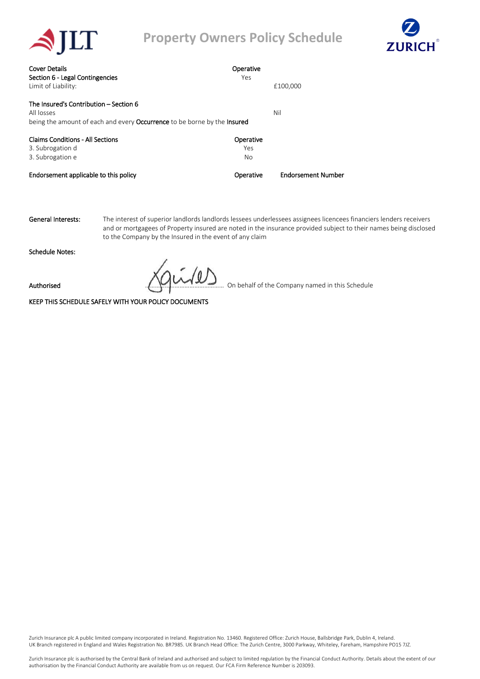

## **Property Owners Policy Schedule**



| <b>Cover Details</b>                                                                   | Operative |                           |
|----------------------------------------------------------------------------------------|-----------|---------------------------|
| Section 6 - Legal Contingencies                                                        | Yes       |                           |
| Limit of Liability:                                                                    |           | £100,000                  |
| The Insured's Contribution - Section 6                                                 |           |                           |
| All losses                                                                             |           | Nil                       |
| being the amount of each and every <b>Occurrence</b> to be borne by the <b>Insured</b> |           |                           |
| <b>Claims Conditions - All Sections</b>                                                | Operative |                           |
| 3. Subrogation d                                                                       | Yes       |                           |
| 3. Subrogation e                                                                       | No        |                           |
| Endorsement applicable to this policy                                                  | Operative | <b>Endorsement Number</b> |

General Interests: The interest of superior landlords landlords lessees underlessees assignees licencees financiers lenders receivers and or mortgagees of Property insured are noted in the insurance provided subject to their names being disclosed to the Company by the Insured in the event of any claim

Schedule Notes:

Authorised **Example 20** On behalf of the Company named in this Schedule

KEEP THIS SCHEDULE SAFELY WITH YOUR POLICY DOCUMENTS